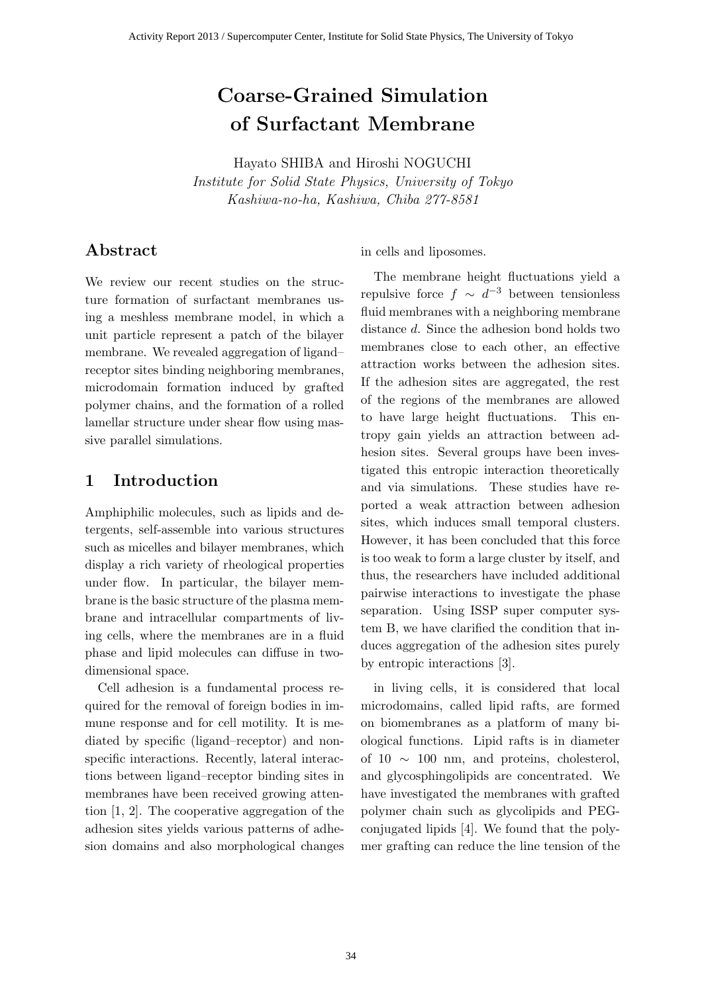# Coarse-Grained Simulation of Surfactant Membrane

Hayato SHIBA and Hiroshi NOGUCHI Institute for Solid State Physics, University of Tokyo Kashiwa-no-ha, Kashiwa, Chiba 277-8581

# Abstract

We review our recent studies on the structure formation of surfactant membranes using a meshless membrane model, in which a unit particle represent a patch of the bilayer membrane. We revealed aggregation of ligand– receptor sites binding neighboring membranes, microdomain formation induced by grafted polymer chains, and the formation of a rolled lamellar structure under shear flow using massive parallel simulations.

## 1 Introduction

Amphiphilic molecules, such as lipids and detergents, self-assemble into various structures such as micelles and bilayer membranes, which display a rich variety of rheological properties under flow. In particular, the bilayer membrane is the basic structure of the plasma membrane and intracellular compartments of living cells, where the membranes are in a fluid phase and lipid molecules can diffuse in twodimensional space.

Cell adhesion is a fundamental process required for the removal of foreign bodies in immune response and for cell motility. It is mediated by specific (ligand–receptor) and nonspecific interactions. Recently, lateral interactions between ligand–receptor binding sites in membranes have been received growing attention [1, 2]. The cooperative aggregation of the adhesion sites yields various patterns of adhesion domains and also morphological changes in cells and liposomes.

The membrane height fluctuations yield a repulsive force  $f \sim d^{-3}$  between tensionless fluid membranes with a neighboring membrane distance d. Since the adhesion bond holds two membranes close to each other, an effective attraction works between the adhesion sites. If the adhesion sites are aggregated, the rest of the regions of the membranes are allowed to have large height fluctuations. This entropy gain yields an attraction between adhesion sites. Several groups have been investigated this entropic interaction theoretically and via simulations. These studies have reported a weak attraction between adhesion sites, which induces small temporal clusters. However, it has been concluded that this force is too weak to form a large cluster by itself, and thus, the researchers have included additional pairwise interactions to investigate the phase separation. Using ISSP super computer system B, we have clarified the condition that induces aggregation of the adhesion sites purely by entropic interactions [3].

in living cells, it is considered that local microdomains, called lipid rafts, are formed on biomembranes as a platform of many biological functions. Lipid rafts is in diameter of 10  $\sim$  100 nm, and proteins, cholesterol, and glycosphingolipids are concentrated. We have investigated the membranes with grafted polymer chain such as glycolipids and PEGconjugated lipids [4]. We found that the polymer grafting can reduce the line tension of the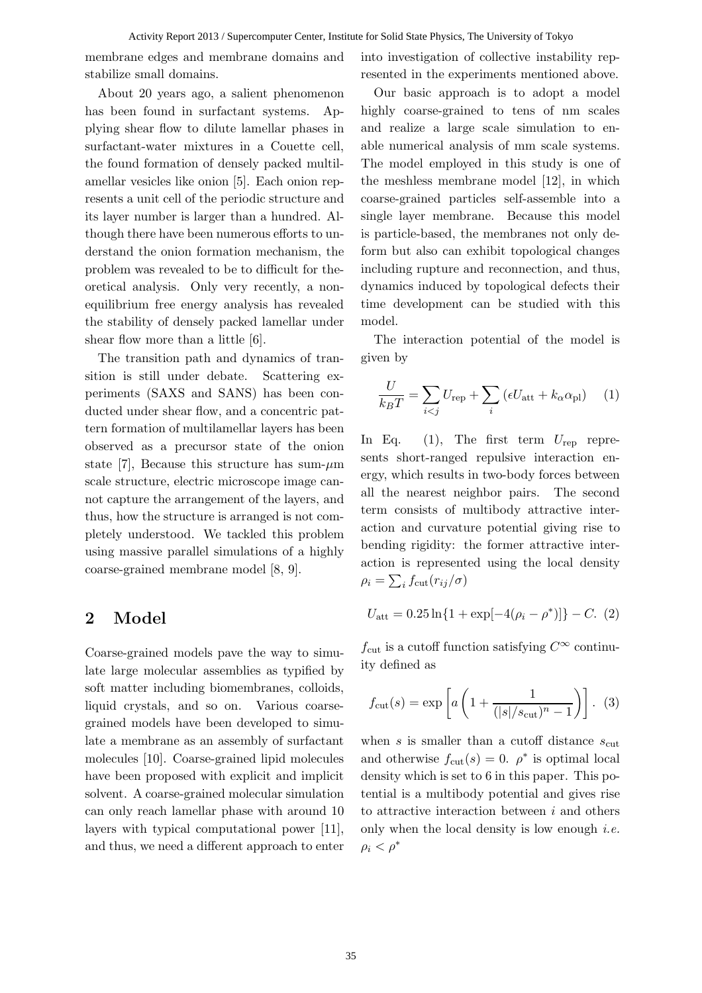membrane edges and membrane domains and stabilize small domains.

About 20 years ago, a salient phenomenon has been found in surfactant systems. Applying shear flow to dilute lamellar phases in surfactant-water mixtures in a Couette cell, the found formation of densely packed multilamellar vesicles like onion [5]. Each onion represents a unit cell of the periodic structure and its layer number is larger than a hundred. Although there have been numerous efforts to understand the onion formation mechanism, the problem was revealed to be to difficult for theoretical analysis. Only very recently, a nonequilibrium free energy analysis has revealed the stability of densely packed lamellar under shear flow more than a little [6].

The transition path and dynamics of transition is still under debate. Scattering experiments (SAXS and SANS) has been conducted under shear flow, and a concentric pattern formation of multilamellar layers has been observed as a precursor state of the onion state [7], Because this structure has sum- $\mu$ m scale structure, electric microscope image cannot capture the arrangement of the layers, and thus, how the structure is arranged is not completely understood. We tackled this problem using massive parallel simulations of a highly coarse-grained membrane model [8, 9].

#### 2 Model

Coarse-grained models pave the way to simulate large molecular assemblies as typified by soft matter including biomembranes, colloids, liquid crystals, and so on. Various coarsegrained models have been developed to simulate a membrane as an assembly of surfactant molecules [10]. Coarse-grained lipid molecules have been proposed with explicit and implicit solvent. A coarse-grained molecular simulation can only reach lamellar phase with around 10 layers with typical computational power [11], and thus, we need a different approach to enter into investigation of collective instability represented in the experiments mentioned above.

Our basic approach is to adopt a model highly coarse-grained to tens of nm scales and realize a large scale simulation to enable numerical analysis of mm scale systems. The model employed in this study is one of the meshless membrane model [12], in which coarse-grained particles self-assemble into a single layer membrane. Because this model is particle-based, the membranes not only deform but also can exhibit topological changes including rupture and reconnection, and thus, dynamics induced by topological defects their time development can be studied with this model.

The interaction potential of the model is given by

$$
\frac{U}{k_B T} = \sum_{i < j} U_{\text{rep}} + \sum_i \left( \epsilon U_{\text{att}} + k_\alpha \alpha_{\text{pl}} \right) \tag{1}
$$

In Eq. (1), The first term  $U_{\text{rep}}$  represents short-ranged repulsive interaction energy, which results in two-body forces between all the nearest neighbor pairs. The second term consists of multibody attractive interaction and curvature potential giving rise to bending rigidity: the former attractive interaction is represented using the local density  $\rho_i = \sum_i f_{\rm cut}(r_{ij}/\sigma)$ 

$$
U_{\rm att} = 0.25 \ln\{1 + \exp[-4(\rho_i - \rho^*)]\} - C. (2)
$$

 $f_{\text{cut}}$  is a cutoff function satisfying  $C^{\infty}$  continuity defined as

$$
f_{\text{cut}}(s) = \exp\left[a\left(1 + \frac{1}{(|s|/s_{\text{cut}})^n - 1}\right)\right].
$$
 (3)

when s is smaller than a cutoff distance  $s_{\text{cut}}$ and otherwise  $f_{\text{cut}}(s) = 0$ .  $\rho^*$  is optimal local density which is set to 6 in this paper. This potential is a multibody potential and gives rise to attractive interaction between  $i$  and others only when the local density is low enough *i.e.*  $\rho_i < \rho^*$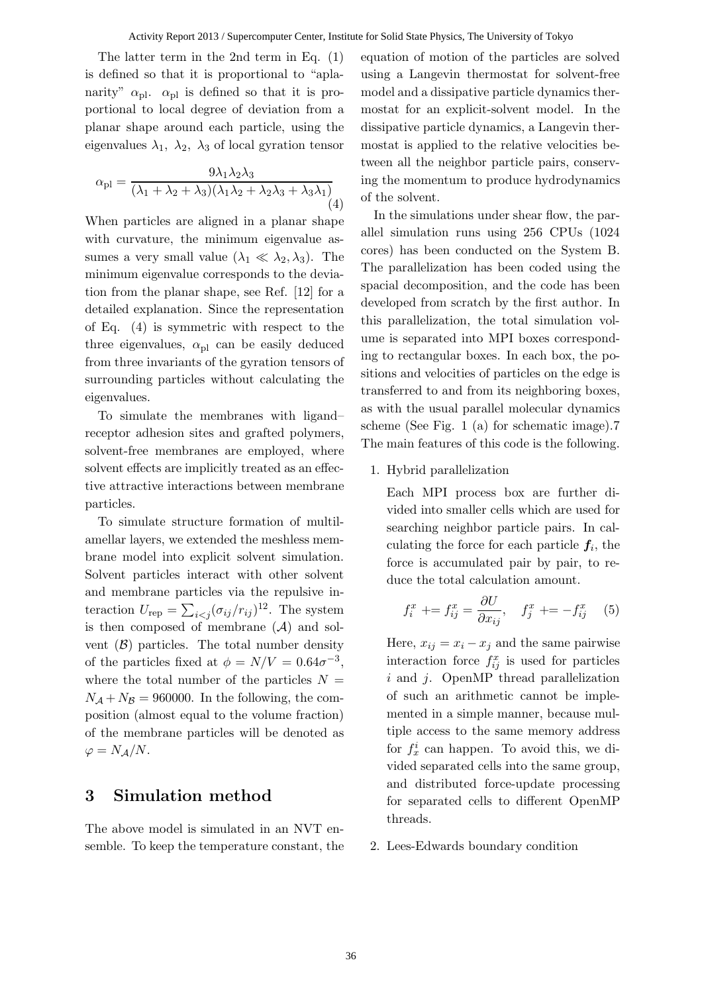The latter term in the 2nd term in Eq. (1) is defined so that it is proportional to "aplanarity"  $\alpha_{\text{pl}}$ .  $\alpha_{\text{pl}}$  is defined so that it is proportional to local degree of deviation from a planar shape around each particle, using the eigenvalues  $\lambda_1$ ,  $\lambda_2$ ,  $\lambda_3$  of local gyration tensor

$$
\alpha_{\rm pl} = \frac{9\lambda_1\lambda_2\lambda_3}{(\lambda_1 + \lambda_2 + \lambda_3)(\lambda_1\lambda_2 + \lambda_2\lambda_3 + \lambda_3\lambda_1)}\tag{4}
$$

When particles are aligned in a planar shape with curvature, the minimum eigenvalue assumes a very small value  $(\lambda_1 \ll \lambda_2, \lambda_3)$ . The minimum eigenvalue corresponds to the deviation from the planar shape, see Ref. [12] for a detailed explanation. Since the representation of Eq. (4) is symmetric with respect to the three eigenvalues,  $\alpha_{\text{pl}}$  can be easily deduced from three invariants of the gyration tensors of surrounding particles without calculating the eigenvalues.

To simulate the membranes with ligand– receptor adhesion sites and grafted polymers, solvent-free membranes are employed, where solvent effects are implicitly treated as an effective attractive interactions between membrane particles.

To simulate structure formation of multilamellar layers, we extended the meshless membrane model into explicit solvent simulation. Solvent particles interact with other solvent and membrane particles via the repulsive interaction  $U_{\text{rep}} = \sum_{i < j} (\sigma_{ij}/r_{ij})^{12}$ . The system is then composed of membrane  $(\mathcal{A})$  and solvent  $(\beta)$  particles. The total number density of the particles fixed at  $\phi = N/V = 0.64\sigma^{-3}$ , where the total number of the particles  $N =$  $N_A + N_B = 960000$ . In the following, the composition (almost equal to the volume fraction) of the membrane particles will be denoted as  $\varphi = N_{\mathcal{A}}/N$ .

#### 3 Simulation method

The above model is simulated in an NVT ensemble. To keep the temperature constant, the equation of motion of the particles are solved using a Langevin thermostat for solvent-free model and a dissipative particle dynamics thermostat for an explicit-solvent model. In the dissipative particle dynamics, a Langevin thermostat is applied to the relative velocities between all the neighbor particle pairs, conserving the momentum to produce hydrodynamics of the solvent.

In the simulations under shear flow, the parallel simulation runs using 256 CPUs (1024 cores) has been conducted on the System B. The parallelization has been coded using the spacial decomposition, and the code has been developed from scratch by the first author. In this parallelization, the total simulation volume is separated into MPI boxes corresponding to rectangular boxes. In each box, the positions and velocities of particles on the edge is transferred to and from its neighboring boxes, as with the usual parallel molecular dynamics scheme (See Fig. 1 (a) for schematic image).7 The main features of this code is the following.

1. Hybrid parallelization

Each MPI process box are further divided into smaller cells which are used for searching neighbor particle pairs. In calculating the force for each particle  $f_i$ , the force is accumulated pair by pair, to reduce the total calculation amount.

$$
f_i^x \mathrel{+}= f_{ij}^x = \frac{\partial U}{\partial x_{ij}}, \quad f_j^x \mathrel{+}= -f_{ij}^x \quad (5)
$$

Here,  $x_{ij} = x_i - x_j$  and the same pairwise interaction force  $f_{ij}^x$  is used for particles  $i$  and  $j$ . OpenMP thread parallelization of such an arithmetic cannot be implemented in a simple manner, because multiple access to the same memory address for  $f_x^i$  can happen. To avoid this, we divided separated cells into the same group, and distributed force-update processing for separated cells to different OpenMP threads.

2. Lees-Edwards boundary condition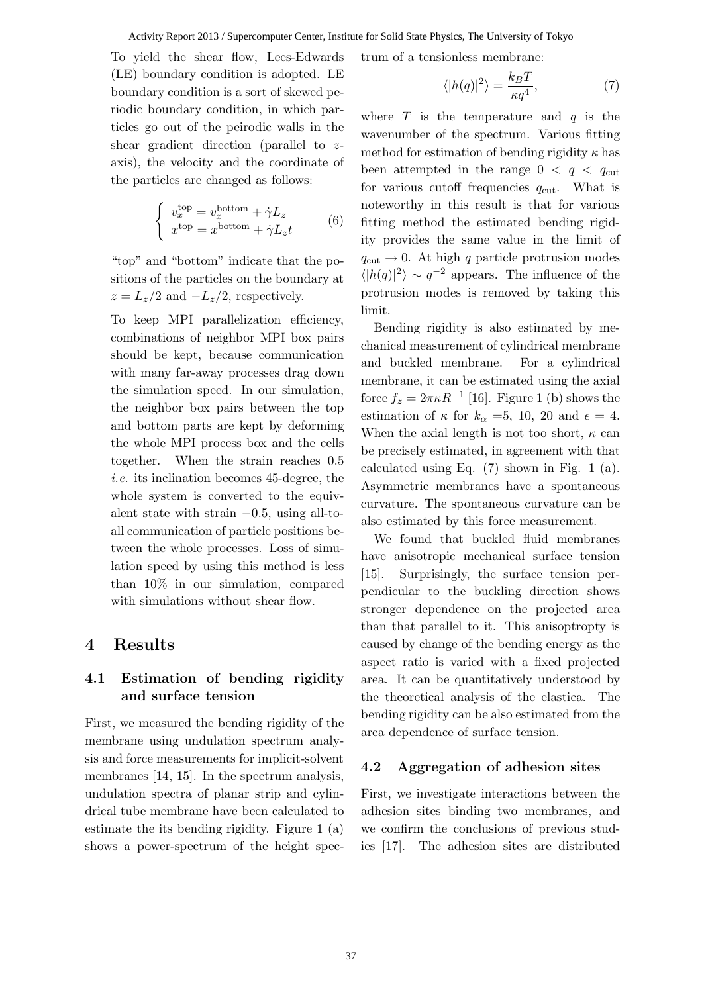Activity Report 2013 / Supercomputer Center, Institute for Solid State Physics, The University of Tokyo

To yield the shear flow, Lees-Edwards (LE) boundary condition is adopted. LE boundary condition is a sort of skewed periodic boundary condition, in which particles go out of the peirodic walls in the shear gradient direction (parallel to zaxis), the velocity and the coordinate of the particles are changed as follows:

$$
\begin{cases}\nv_x^{\text{top}} = v_x^{\text{bottom}} + \dot{\gamma} L_z \\
x^{\text{top}} = x^{\text{bottom}} + \dot{\gamma} L_z t\n\end{cases} \tag{6}
$$

"top" and "bottom" indicate that the positions of the particles on the boundary at  $z = L_z/2$  and  $-L_z/2$ , respectively.

To keep MPI parallelization efficiency, combinations of neighbor MPI box pairs should be kept, because communication with many far-away processes drag down the simulation speed. In our simulation, the neighbor box pairs between the top and bottom parts are kept by deforming the whole MPI process box and the cells together. When the strain reaches 0.5 i.e. its inclination becomes 45-degree, the whole system is converted to the equivalent state with strain  $-0.5$ , using all-toall communication of particle positions between the whole processes. Loss of simulation speed by using this method is less than 10% in our simulation, compared with simulations without shear flow.

## 4 Results

#### 4.1 Estimation of bending rigidity and surface tension

First, we measured the bending rigidity of the membrane using undulation spectrum analysis and force measurements for implicit-solvent membranes [14, 15]. In the spectrum analysis, undulation spectra of planar strip and cylindrical tube membrane have been calculated to estimate the its bending rigidity. Figure 1 (a) shows a power-spectrum of the height spectrum of a tensionless membrane:

$$
\langle |h(q)|^2 \rangle = \frac{k_B T}{\kappa q^4},\tag{7}
$$

where  $T$  is the temperature and  $q$  is the wavenumber of the spectrum. Various fitting method for estimation of bending rigidity  $\kappa$  has been attempted in the range  $0 < q < q_{\text{cut}}$ for various cutoff frequencies  $q_{\text{cut}}$ . What is noteworthy in this result is that for various fitting method the estimated bending rigidity provides the same value in the limit of  $q_{\text{cut}} \rightarrow 0$ . At high q particle protrusion modes  $\langle |h(q)|^2 \rangle \sim q^{-2}$  appears. The influence of the protrusion modes is removed by taking this limit.

Bending rigidity is also estimated by mechanical measurement of cylindrical membrane and buckled membrane. For a cylindrical membrane, it can be estimated using the axial force  $f_z = 2\pi \kappa R^{-1}$  [16]. Figure 1 (b) shows the estimation of  $\kappa$  for  $k_{\alpha} = 5$ , 10, 20 and  $\epsilon = 4$ . When the axial length is not too short,  $\kappa$  can be precisely estimated, in agreement with that calculated using Eq. (7) shown in Fig. 1 (a). Asymmetric membranes have a spontaneous curvature. The spontaneous curvature can be also estimated by this force measurement.

We found that buckled fluid membranes have anisotropic mechanical surface tension [15]. Surprisingly, the surface tension perpendicular to the buckling direction shows stronger dependence on the projected area than that parallel to it. This anisoptropty is caused by change of the bending energy as the aspect ratio is varied with a fixed projected area. It can be quantitatively understood by the theoretical analysis of the elastica. The bending rigidity can be also estimated from the area dependence of surface tension.

#### 4.2 Aggregation of adhesion sites

First, we investigate interactions between the adhesion sites binding two membranes, and we confirm the conclusions of previous studies [17]. The adhesion sites are distributed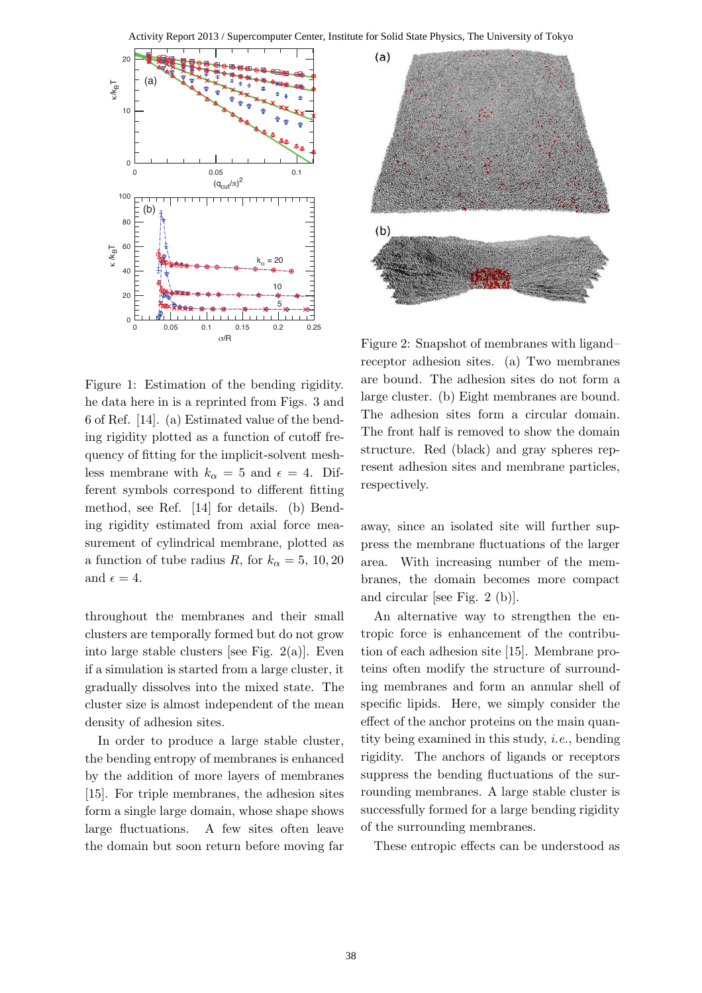Activity Report 2013 / Supercomputer Center, Institute for Solid State Physics, The University of Tokyo





Figure 1: Estimation of the bending rigidity. he data here in is a reprinted from Figs. 3 and 6 of Ref. [14]. (a) Estimated value of the bending rigidity plotted as a function of cutoff frequency of fitting for the implicit-solvent meshless membrane with  $k_{\alpha} = 5$  and  $\epsilon = 4$ . Different symbols correspond to different fitting method, see Ref. [14] for details. (b) Bending rigidity estimated from axial force measurement of cylindrical membrane, plotted as a function of tube radius R, for  $k_{\alpha} = 5$ , 10, 20 and  $\epsilon = 4$ .

throughout the membranes and their small clusters are temporally formed but do not grow into large stable clusters [see Fig. 2(a)]. Even if a simulation is started from a large cluster, it gradually dissolves into the mixed state. The cluster size is almost independent of the mean density of adhesion sites.

In order to produce a large stable cluster, the bending entropy of membranes is enhanced by the addition of more layers of membranes [15]. For triple membranes, the adhesion sites form a single large domain, whose shape shows large fluctuations. A few sites often leave the domain but soon return before moving far

Figure 2: Snapshot of membranes with ligand– receptor adhesion sites. (a) Two membranes are bound. The adhesion sites do not form a large cluster. (b) Eight membranes are bound. The adhesion sites form a circular domain. The front half is removed to show the domain structure. Red (black) and gray spheres represent adhesion sites and membrane particles, respectively.

away, since an isolated site will further suppress the membrane fluctuations of the larger area. With increasing number of the membranes, the domain becomes more compact and circular [see Fig. 2 (b)].

An alternative way to strengthen the entropic force is enhancement of the contribution of each adhesion site [15]. Membrane proteins often modify the structure of surrounding membranes and form an annular shell of specific lipids. Here, we simply consider the effect of the anchor proteins on the main quantity being examined in this study, i.e., bending rigidity. The anchors of ligands or receptors suppress the bending fluctuations of the surrounding membranes. A large stable cluster is successfully formed for a large bending rigidity of the surrounding membranes.

These entropic effects can be understood as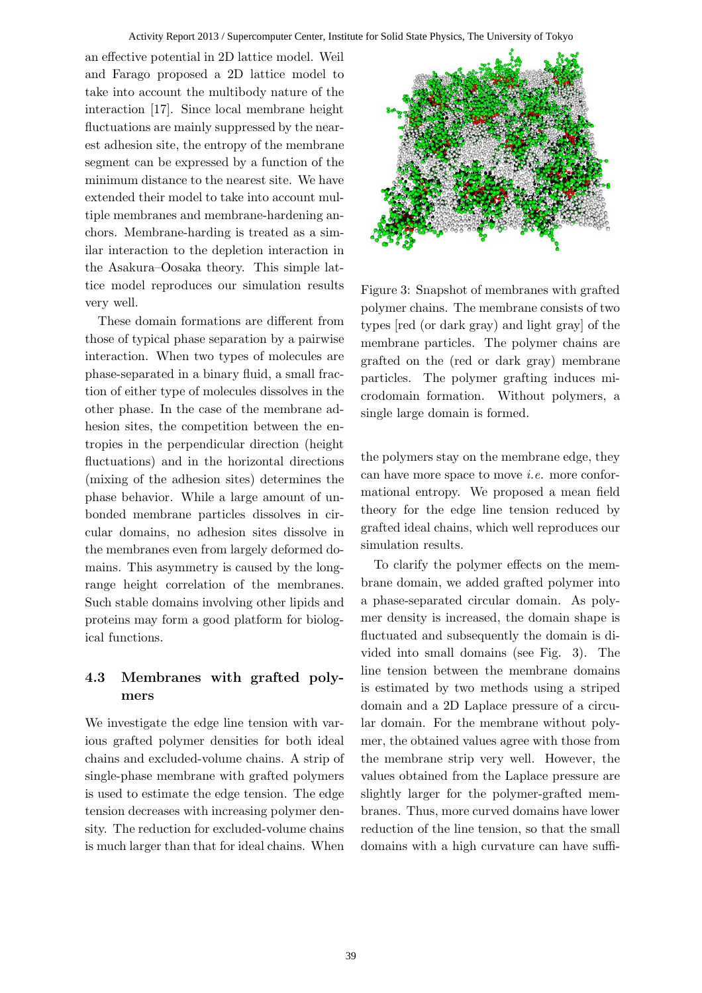an effective potential in 2D lattice model. Weil and Farago proposed a 2D lattice model to take into account the multibody nature of the interaction [17]. Since local membrane height fluctuations are mainly suppressed by the nearest adhesion site, the entropy of the membrane segment can be expressed by a function of the minimum distance to the nearest site. We have extended their model to take into account multiple membranes and membrane-hardening anchors. Membrane-harding is treated as a similar interaction to the depletion interaction in the Asakura–Oosaka theory. This simple lattice model reproduces our simulation results very well.

These domain formations are different from those of typical phase separation by a pairwise interaction. When two types of molecules are phase-separated in a binary fluid, a small fraction of either type of molecules dissolves in the other phase. In the case of the membrane adhesion sites, the competition between the entropies in the perpendicular direction (height fluctuations) and in the horizontal directions (mixing of the adhesion sites) determines the phase behavior. While a large amount of unbonded membrane particles dissolves in circular domains, no adhesion sites dissolve in the membranes even from largely deformed domains. This asymmetry is caused by the longrange height correlation of the membranes. Such stable domains involving other lipids and proteins may form a good platform for biological functions.

# 4.3 Membranes with grafted polymers

We investigate the edge line tension with various grafted polymer densities for both ideal chains and excluded-volume chains. A strip of single-phase membrane with grafted polymers is used to estimate the edge tension. The edge tension decreases with increasing polymer density. The reduction for excluded-volume chains is much larger than that for ideal chains. When



Figure 3: Snapshot of membranes with grafted polymer chains. The membrane consists of two types [red (or dark gray) and light gray] of the membrane particles. The polymer chains are grafted on the (red or dark gray) membrane particles. The polymer grafting induces microdomain formation. Without polymers, a single large domain is formed.

the polymers stay on the membrane edge, they can have more space to move i.e. more conformational entropy. We proposed a mean field theory for the edge line tension reduced by grafted ideal chains, which well reproduces our simulation results.

To clarify the polymer effects on the membrane domain, we added grafted polymer into a phase-separated circular domain. As polymer density is increased, the domain shape is fluctuated and subsequently the domain is divided into small domains (see Fig. 3). The line tension between the membrane domains is estimated by two methods using a striped domain and a 2D Laplace pressure of a circular domain. For the membrane without polymer, the obtained values agree with those from the membrane strip very well. However, the values obtained from the Laplace pressure are slightly larger for the polymer-grafted membranes. Thus, more curved domains have lower reduction of the line tension, so that the small domains with a high curvature can have suffi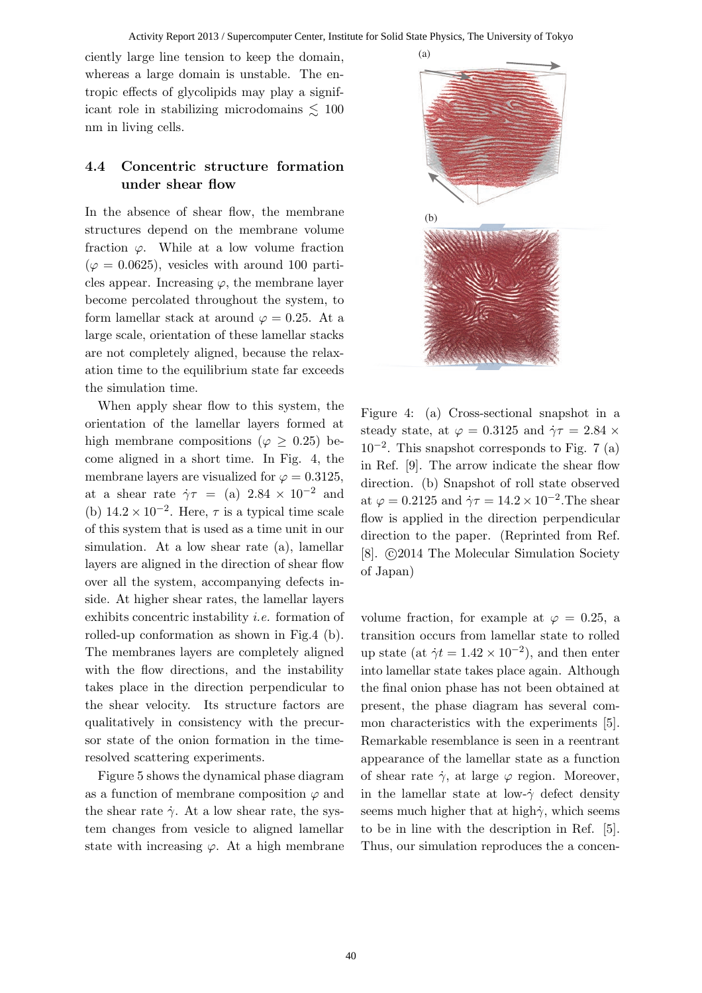ciently large line tension to keep the domain, whereas a large domain is unstable. The entropic effects of glycolipids may play a significant role in stabilizing microdomains  $\lesssim 100$ nm in living cells.

#### 4.4 Concentric structure formation under shear flow

In the absence of shear flow, the membrane structures depend on the membrane volume fraction  $\varphi$ . While at a low volume fraction  $(\varphi = 0.0625)$ , vesicles with around 100 particles appear. Increasing  $\varphi$ , the membrane layer become percolated throughout the system, to form lamellar stack at around  $\varphi = 0.25$ . At a large scale, orientation of these lamellar stacks are not completely aligned, because the relaxation time to the equilibrium state far exceeds the simulation time.

When apply shear flow to this system, the orientation of the lamellar layers formed at high membrane compositions ( $\varphi \geq 0.25$ ) become aligned in a short time. In Fig. 4, the membrane layers are visualized for  $\varphi = 0.3125$ , at a shear rate  $\dot{\gamma}\tau = (a) 2.84 \times 10^{-2}$  and (b)  $14.2 \times 10^{-2}$ . Here,  $\tau$  is a typical time scale of this system that is used as a time unit in our simulation. At a low shear rate (a), lamellar layers are aligned in the direction of shear flow over all the system, accompanying defects inside. At higher shear rates, the lamellar layers exhibits concentric instability i.e. formation of rolled-up conformation as shown in Fig.4 (b). The membranes layers are completely aligned with the flow directions, and the instability takes place in the direction perpendicular to the shear velocity. Its structure factors are qualitatively in consistency with the precursor state of the onion formation in the timeresolved scattering experiments.

Figure 5 shows the dynamical phase diagram as a function of membrane composition  $\varphi$  and the shear rate  $\dot{\gamma}$ . At a low shear rate, the system changes from vesicle to aligned lamellar state with increasing  $\varphi$ . At a high membrane



Figure 4: (a) Cross-sectional snapshot in a steady state, at  $\varphi = 0.3125$  and  $\dot{\gamma}\tau = 2.84 \times$ 10−<sup>2</sup> . This snapshot corresponds to Fig. 7 (a) in Ref. [9]. The arrow indicate the shear flow direction. (b) Snapshot of roll state observed at  $\varphi = 0.2125$  and  $\dot{\gamma}\tau = 14.2 \times 10^{-2}$ . The shear flow is applied in the direction perpendicular direction to the paper. (Reprinted from Ref. [8].  $\odot$ 2014 The Molecular Simulation Society of Japan)

volume fraction, for example at  $\varphi = 0.25$ , a transition occurs from lamellar state to rolled up state (at  $\dot{\gamma}t = 1.42 \times 10^{-2}$ ), and then enter into lamellar state takes place again. Although the final onion phase has not been obtained at present, the phase diagram has several common characteristics with the experiments [5]. Remarkable resemblance is seen in a reentrant appearance of the lamellar state as a function of shear rate  $\dot{\gamma}$ , at large  $\varphi$  region. Moreover, in the lamellar state at low- $\dot{\gamma}$  defect density seems much higher that at high $\dot{\gamma}$ , which seems to be in line with the description in Ref. [5]. Thus, our simulation reproduces the a concen-